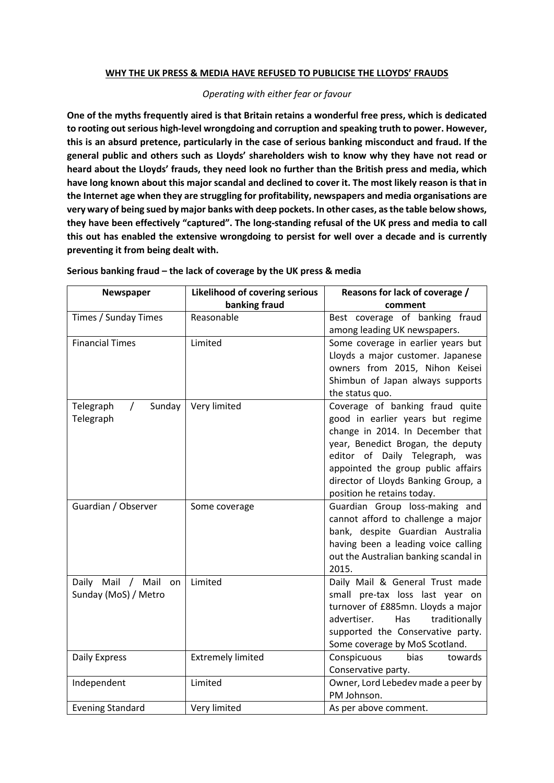### **WHY THE UK PRESS & MEDIA HAVE REFUSED TO PUBLICISE THE LLOYDS' FRAUDS**

#### *Operating with either fear or favour*

**One of the myths frequently aired is that Britain retains a wonderful free press, which is dedicated to rooting out serious high-level wrongdoing and corruption and speaking truth to power. However, this is an absurd pretence, particularly in the case of serious banking misconduct and fraud. If the general public and others such as Lloyds' shareholders wish to know why they have not read or heard about the Lloyds' frauds, they need look no further than the British press and media, which have long known about this major scandal and declined to cover it. The most likely reason is that in the Internet age when they are struggling for profitability, newspapers and media organisations are very wary of being sued by major banks with deep pockets. In other cases, as the table below shows, they have been effectively "captured". The long-standing refusal of the UK press and media to call this out has enabled the extensive wrongdoing to persist for well over a decade and is currently preventing it from being dealt with.**

| Newspaper                       | <b>Likelihood of covering serious</b> | Reasons for lack of coverage /                                        |
|---------------------------------|---------------------------------------|-----------------------------------------------------------------------|
|                                 | banking fraud                         | comment                                                               |
| Times / Sunday Times            | Reasonable                            | Best coverage of banking fraud                                        |
|                                 |                                       | among leading UK newspapers.                                          |
| <b>Financial Times</b>          | Limited                               | Some coverage in earlier years but                                    |
|                                 |                                       | Lloyds a major customer. Japanese                                     |
|                                 |                                       | owners from 2015, Nihon Keisei                                        |
|                                 |                                       | Shimbun of Japan always supports                                      |
|                                 |                                       | the status quo.                                                       |
| Telegraph<br>Sunday<br>$\prime$ | Very limited                          | Coverage of banking fraud quite                                       |
| Telegraph                       |                                       | good in earlier years but regime                                      |
|                                 |                                       | change in 2014. In December that                                      |
|                                 |                                       | year, Benedict Brogan, the deputy                                     |
|                                 |                                       | editor of Daily Telegraph, was                                        |
|                                 |                                       | appointed the group public affairs                                    |
|                                 |                                       | director of Lloyds Banking Group, a                                   |
|                                 |                                       | position he retains today.                                            |
| Guardian / Observer             | Some coverage                         | Guardian Group loss-making and                                        |
|                                 |                                       | cannot afford to challenge a major                                    |
|                                 |                                       | bank, despite Guardian Australia                                      |
|                                 |                                       | having been a leading voice calling                                   |
|                                 |                                       | out the Australian banking scandal in                                 |
|                                 |                                       | 2015.                                                                 |
| Daily Mail / Mail on            | Limited                               | Daily Mail & General Trust made                                       |
| Sunday (MoS) / Metro            |                                       | small pre-tax loss last year on<br>turnover of £885mn. Lloyds a major |
|                                 |                                       | advertiser.<br>Has<br>traditionally                                   |
|                                 |                                       | supported the Conservative party.                                     |
|                                 |                                       | Some coverage by MoS Scotland.                                        |
| Daily Express                   | <b>Extremely limited</b>              | Conspicuous<br>bias<br>towards                                        |
|                                 |                                       | Conservative party.                                                   |
| Independent                     | Limited                               | Owner, Lord Lebedev made a peer by                                    |
|                                 |                                       | PM Johnson.                                                           |
| <b>Evening Standard</b>         | Very limited                          | As per above comment.                                                 |

#### **Serious banking fraud – the lack of coverage by the UK press & media**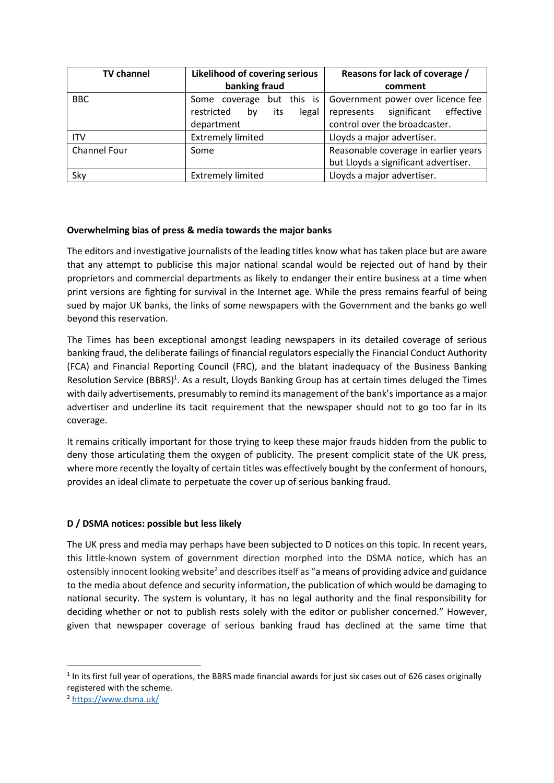| <b>TV channel</b> | Likelihood of covering serious   | Reasons for lack of coverage /       |
|-------------------|----------------------------------|--------------------------------------|
|                   | banking fraud                    | comment                              |
| <b>BBC</b>        | Some coverage but this is        | Government power over licence fee    |
|                   | restricted<br>its<br>legal<br>bv | represents significant effective     |
|                   | department                       | control over the broadcaster.        |
| <b>ITV</b>        | <b>Extremely limited</b>         | Lloyds a major advertiser.           |
| Channel Four      | Some                             | Reasonable coverage in earlier years |
|                   |                                  | but Lloyds a significant advertiser. |
| Sky               | <b>Extremely limited</b>         | Lloyds a major advertiser.           |

# **Overwhelming bias of press & media towards the major banks**

The editors and investigative journalists of the leading titles know what has taken place but are aware that any attempt to publicise this major national scandal would be rejected out of hand by their proprietors and commercial departments as likely to endanger their entire business at a time when print versions are fighting for survival in the Internet age. While the press remains fearful of being sued by major UK banks, the links of some newspapers with the Government and the banks go well beyond this reservation.

The Times has been exceptional amongst leading newspapers in its detailed coverage of serious banking fraud, the deliberate failings of financial regulators especially the Financial Conduct Authority (FCA) and Financial Reporting Council (FRC), and the blatant inadequacy of the Business Banking Resolution Service (BBRS)<sup>1</sup>. As a result, Lloyds Banking Group has at certain times deluged the Times with daily advertisements, presumably to remind its management of the bank'simportance as a major advertiser and underline its tacit requirement that the newspaper should not to go too far in its coverage.

It remains critically important for those trying to keep these major frauds hidden from the public to deny those articulating them the oxygen of publicity. The present complicit state of the UK press, where more recently the loyalty of certain titles was effectively bought by the conferment of honours, provides an ideal climate to perpetuate the cover up of serious banking fraud.

# **D / DSMA notices: possible but less likely**

The UK press and media may perhaps have been subjected to D notices on this topic. In recent years, this little-known system of government direction morphed into the DSMA notice, which has an ostensibly innocent looking website<sup>2</sup> and describes itself as "a means of providing advice and guidance to the media about defence and security information, the publication of which would be damaging to national security. The system is voluntary, it has no legal authority and the final responsibility for deciding whether or not to publish rests solely with the editor or publisher concerned." However, given that newspaper coverage of serious banking fraud has declined at the same time that

 $1$  In its first full year of operations, the BBRS made financial awards for just six cases out of 626 cases originally registered with the scheme.

<sup>2</sup> <https://www.dsma.uk/>